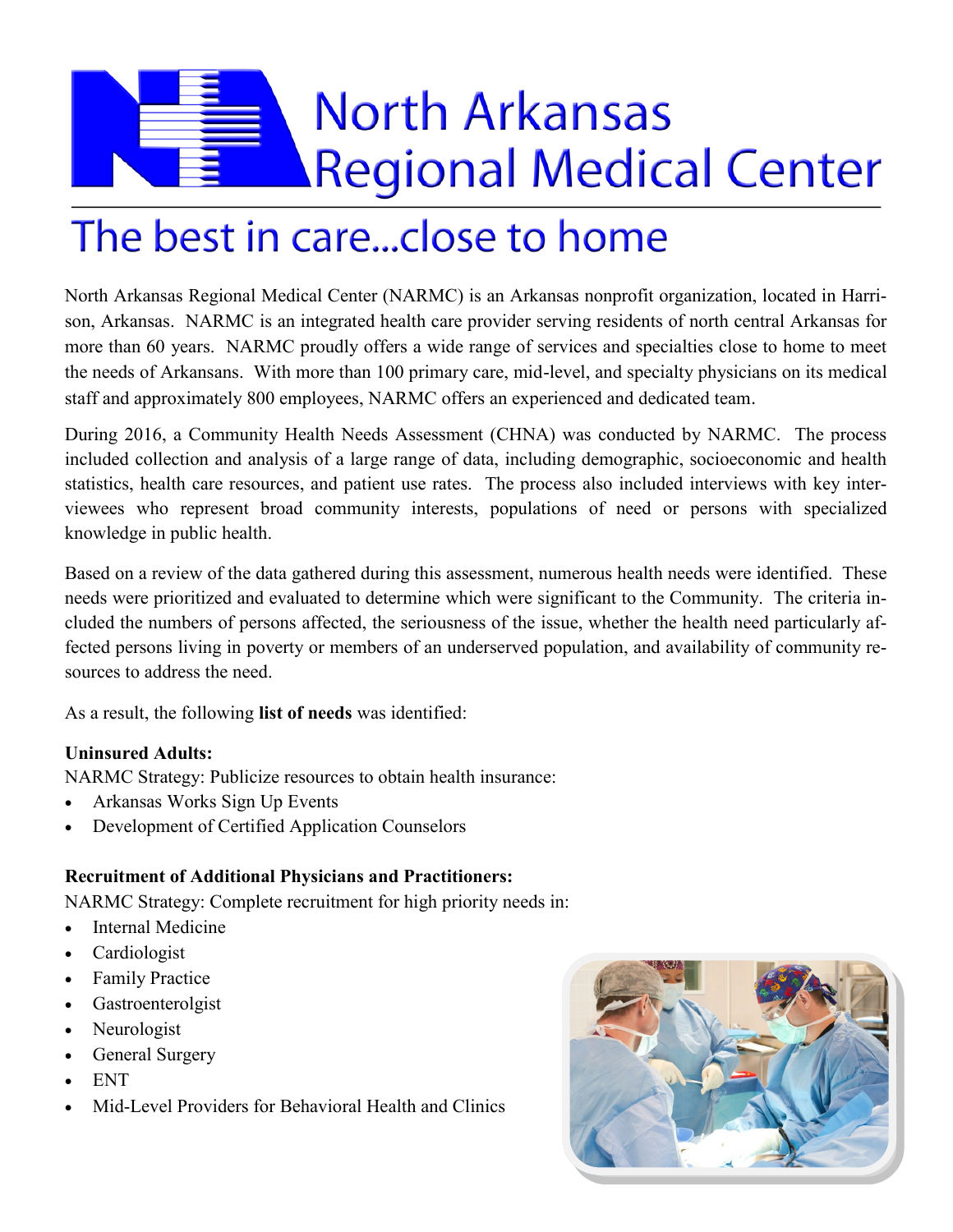# **North Arkansas Regional Medical Center**

# The best in care...close to home

North Arkansas Regional Medical Center (NARMC) is an Arkansas nonprofit organization, located in Harrison, Arkansas. NARMC is an integrated health care provider serving residents of north central Arkansas for more than 60 years. NARMC proudly offers a wide range of services and specialties close to home to meet the needs of Arkansans. With more than 100 primary care, mid-level, and specialty physicians on its medical staff and approximately 800 employees, NARMC offers an experienced and dedicated team.

During 2016, a Community Health Needs Assessment (CHNA) was conducted by NARMC. The process included collection and analysis of a large range of data, including demographic, socioeconomic and health statistics, health care resources, and patient use rates. The process also included interviews with key interviewees who represent broad community interests, populations of need or persons with specialized knowledge in public health.

Based on a review of the data gathered during this assessment, numerous health needs were identified. These needs were prioritized and evaluated to determine which were significant to the Community. The criteria included the numbers of persons affected, the seriousness of the issue, whether the health need particularly affected persons living in poverty or members of an underserved population, and availability of community resources to address the need.

As a result, the following **list of needs** was identified:

#### **Uninsured Adults:**

NARMC Strategy: Publicize resources to obtain health insurance:

- Arkansas Works Sign Up Events
- Development of Certified Application Counselors

# **Recruitment of Additional Physicians and Practitioners:**

NARMC Strategy: Complete recruitment for high priority needs in:

- Internal Medicine
- Cardiologist
- Family Practice
- Gastroenterolgist
- Neurologist
- General Surgery
- ENT
- Mid-Level Providers for Behavioral Health and Clinics

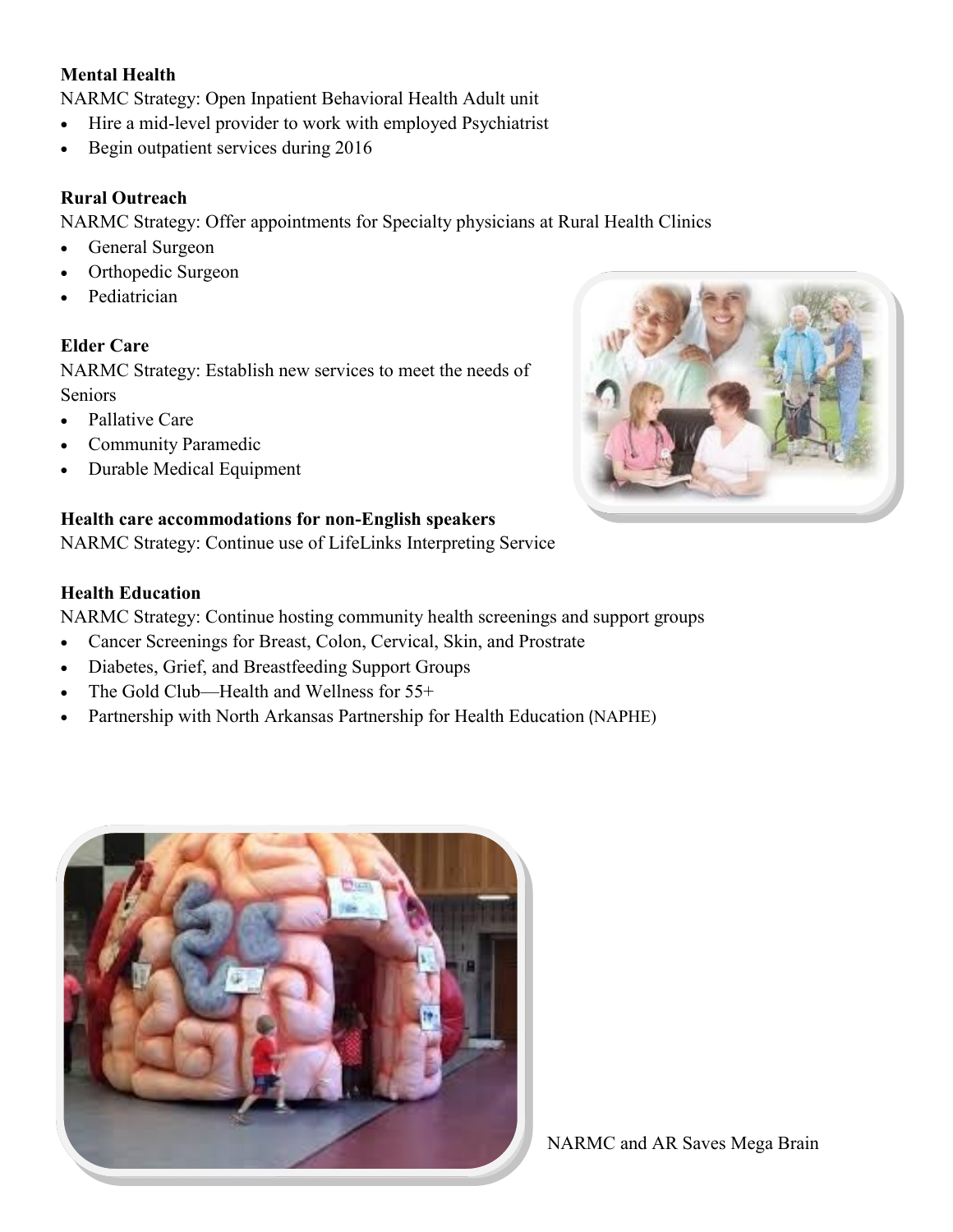## **Mental Health**

NARMC Strategy: Open Inpatient Behavioral Health Adult unit

- Hire a mid-level provider to work with employed Psychiatrist
- Begin outpatient services during 2016

#### **Rural Outreach**

NARMC Strategy: Offer appointments for Specialty physicians at Rural Health Clinics

- General Surgeon
- Orthopedic Surgeon
- Pediatrician

## **Elder Care**

NARMC Strategy: Establish new services to meet the needs of Seniors

- Pallative Care
- Community Paramedic
- Durable Medical Equipment

## **Health care accommodations for non-English speakers**

NARMC Strategy: Continue use of LifeLinks Interpreting Service

#### **Health Education**

NARMC Strategy: Continue hosting community health screenings and support groups

- Cancer Screenings for Breast, Colon, Cervical, Skin, and Prostrate
- Diabetes, Grief, and Breastfeeding Support Groups
- The Gold Club—Health and Wellness for 55+
- Partnership with North Arkansas Partnership for Health Education (NAPHE)